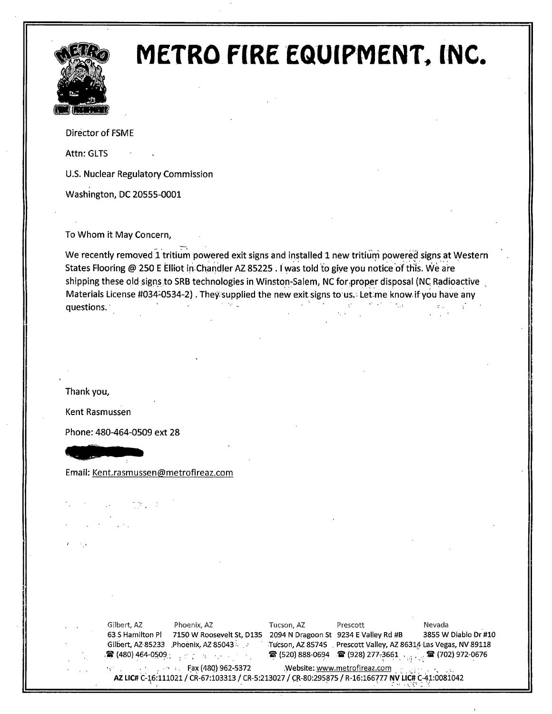

# METRO FIRE EQUIPMENT, INC.

Director of FSME

Attn: GLTS

U.S. Nuclear Regulatory Commission

Washington, DC 20555-0001

To Whom it May Concern,

We recently removed 1 tritium powered exit signs and installed 1 new tritium powered signs at Western States Flooring @ 250 E Elliot in Chandler AZ 85225. I was told to give you notice of this. We are shipping these old signs to SRB technologies in Winston-Salem, NC for proper disposal (NC Radioactive Materials License #034-0534-2). They supplied the new exit signs to us. Let me know if you have any  $\sim$ questions.

Thank you,

Kent Rasmussen

Phone: 480-464-0509 ext 28

Email: Kent.rasmussen@metrofireaz.com

Gilbert, AZ Phoenix, AZ 63 S Hamilton Pl 7150 W Roosevelt St, D135 2094 N Dragoon St 9234 E Valley Rd #B 3855 W Diablo Dr #10 Gilbert, AZ-85233 .Phoenix, AZ-85043  $\frac{1}{2}$  (480) 464-0509  $\frac{1}{2}$  ,  $\frac{1}{2}$  ,  $\frac{1}{2}$  ,  $\frac{1}{2}$  ,  $\frac{1}{2}$  ,  $\frac{1}{2}$ Tucson, AZ Prescott Nevada Tucson, AZ 85745 . Prescott Valley, AZ 86314 Las Vegas, NV 89118  $\bullet$  (520) 888-0694  $\bullet$  (928) 277,3661  $\bullet$   $\bullet$   $\bullet$  (702) 972-0676 \_ ~ax (48Q) 962-S372 .Website: www.metrofireaz.com . ,, , . \_\_

**AZ LIC# C-16:111021 / CR-67:103313 / CR-5:213027 / CR-80:295875 / R-16:166777 NV LIC# C-41:0081042**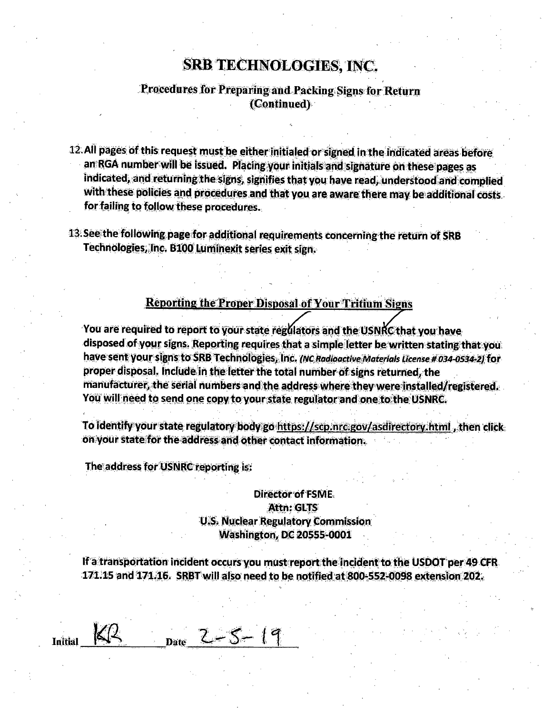#### **SRB TECHNOLOGIES, INC.**

#### Procedures for Preparing and Packing Signs for Return (Continued)

- 12. All pages of this request must be either initialed or signed in the indicated areas before an RGA number will be issued. Placing your initials and signature on these pages as indicated, and returning the signs, signifies that you have read, understood and complied with these policies and procedures and that you are aware there may be additional costs. for failing to follow these procedures.
- 13. See the following page for additional requirements concerning the return of SRB Technologies, Inc. B100 Luminexit series exit sign.

#### **Reporting the Proper Disposal of Your Tritium Signs**

You are required to report to your state regulators and the USNRC that you have disposed of your signs. Reporting requires that a simple letter be written stating that you. have sent your signs to SRB Technologies, Inc. (NC Radioactive Materials License # 034-0534-2) for proper disposal. Include in the letter the total number of signs returned, the manufacturer, the serial numbers and the address where they were installed/registered. You will need to send one copy to your state regulator and one to the USNRC.

To identify your state regulatory body go https://scp.nrc.gov/asdirectory.html, then click. on your state for the address and other contact information.

The address for USNRC reporting is:

#### **Director of FSME.** Attn: GLTS **U.S. Nuclear Regulatory Commission Washington, DC 20555-0001**

If a transportation incident occurs you must report the incident to the USDOT per 49 CFR. 171.15 and 171.16. SRBT will also need to be notified at 800-552-0098 extension 202.

 $_{\text{Date}}$  2 - 5 - 19 Initial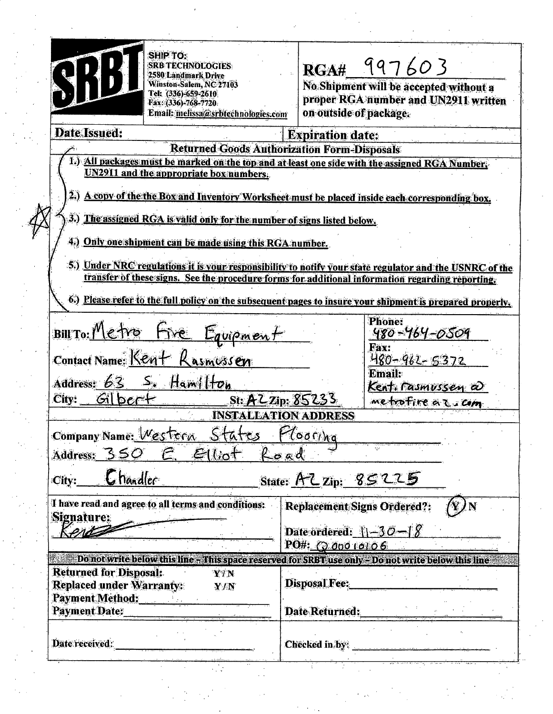|                                | تكتيب<br>÷               | 1.2.5<br>×. | ಾರ್ಡ್ |
|--------------------------------|--------------------------|-------------|-------|
| $\epsilon$<br>القنين           | $\mathcal{L}$<br>ä       |             |       |
| πç                             | A<br>ï                   | з           |       |
| انو.                           | <b>DES</b><br>إيرا<br>v  | ٠.          | 55    |
| Ŧ,<br>انتقابا<br>٠<br>ı.<br>ã. | $\overline{\phantom{a}}$ |             |       |

SHIP TO: **SRB TECHNOLOGIES** 2580 Landmark Drive Winston-Salem, NC 27103<br>Tel: (336)-659-2610<br>Fax: (336)-768-7720 Email: melissa@srbtechnologies.com

## RGA# 997603

No Shipment will be accepted without a<br>proper RGA number and UN2911 written on outside of package.

| <b>Date Issued:</b>                                                                                       | <b>Expiration date:</b>                                  |                                                                                                         |  |  |  |  |
|-----------------------------------------------------------------------------------------------------------|----------------------------------------------------------|---------------------------------------------------------------------------------------------------------|--|--|--|--|
|                                                                                                           | <b>Returned Goods Authorization Form-Disposals</b>       |                                                                                                         |  |  |  |  |
|                                                                                                           |                                                          | 1.) All packages must be marked on the top and at least one side with the assigned RGA Number.          |  |  |  |  |
|                                                                                                           | UN2911 and the appropriate box numbers.                  |                                                                                                         |  |  |  |  |
| 2.) A copy of the the Box and Inventory Worksheet must be placed inside each corresponding box.           |                                                          |                                                                                                         |  |  |  |  |
| 3.) The assigned RGA is valid only for the number of signs listed below.                                  |                                                          |                                                                                                         |  |  |  |  |
|                                                                                                           | 4.) Only one shipment can be made using this RGA number. |                                                                                                         |  |  |  |  |
|                                                                                                           |                                                          | 5.) Under NRC regulations it is your responsibility to notify your state regulator and the USNRC of the |  |  |  |  |
| transfer of these signs. See the procedure forms for additional information regarding reporting.          |                                                          |                                                                                                         |  |  |  |  |
|                                                                                                           |                                                          |                                                                                                         |  |  |  |  |
| 6.) Please refer to the full policy on the subsequent pages to insure your shipment is prepared properly. |                                                          |                                                                                                         |  |  |  |  |
|                                                                                                           |                                                          | <b>Phone:</b>                                                                                           |  |  |  |  |
| BILTO: Metro Fre Equipment                                                                                | 480-464-0509                                             |                                                                                                         |  |  |  |  |
|                                                                                                           | Fax:<br>Contact Name: Kent Rasmessen                     |                                                                                                         |  |  |  |  |
| <u>480-962-5372</u><br><b>Email:</b>                                                                      |                                                          |                                                                                                         |  |  |  |  |
|                                                                                                           | Address: 63 S. Hamilton                                  | Kent. rasmussen a                                                                                       |  |  |  |  |
|                                                                                                           | metrofire az com                                         |                                                                                                         |  |  |  |  |
|                                                                                                           |                                                          | <b>INSTALLATION ADDRESS</b>                                                                             |  |  |  |  |
|                                                                                                           |                                                          |                                                                                                         |  |  |  |  |
| Company Name: Western States Plooring                                                                     |                                                          |                                                                                                         |  |  |  |  |
|                                                                                                           | Address: 350 E. Elliot Road                              |                                                                                                         |  |  |  |  |
| $\mathcal{C}$ ity: $\mathcal{C}$ handler<br>State: AZ Zip: 85225                                          |                                                          |                                                                                                         |  |  |  |  |
| Signature:                                                                                                | I have read and agree to all terms and conditions:       | <b>Replacement Signs Ordered?:</b>                                                                      |  |  |  |  |
| Kente                                                                                                     |                                                          | Date ordered: $1-30-18$                                                                                 |  |  |  |  |
|                                                                                                           |                                                          | PO#: 00000006                                                                                           |  |  |  |  |
| Do not write below this line - This space reserved for SRBT use only - Do not write below this line       |                                                          |                                                                                                         |  |  |  |  |
| <b>Returned for Disposal:</b>                                                                             | YIN                                                      |                                                                                                         |  |  |  |  |
| Replaced under Warranty:                                                                                  | Y/N                                                      | <b>Disposal Fee:</b>                                                                                    |  |  |  |  |
| Payment Method:                                                                                           |                                                          |                                                                                                         |  |  |  |  |
| Payment Date:                                                                                             |                                                          | Date Returned:                                                                                          |  |  |  |  |
| Date received:                                                                                            |                                                          | Checked in by:                                                                                          |  |  |  |  |
|                                                                                                           |                                                          |                                                                                                         |  |  |  |  |